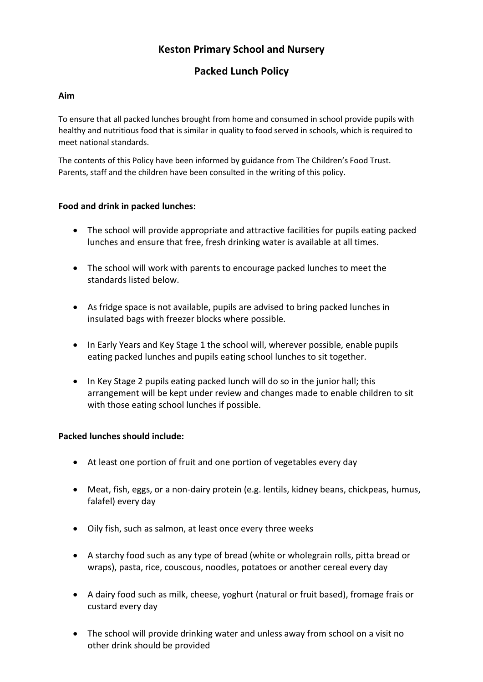# **Keston Primary School and Nursery**

# **Packed Lunch Policy**

#### **Aim**

To ensure that all packed lunches brought from home and consumed in school provide pupils with healthy and nutritious food that is similar in quality to food served in schools, which is required to meet national standards.

The contents of this Policy have been informed by guidance from The Children's Food Trust. Parents, staff and the children have been consulted in the writing of this policy.

#### **Food and drink in packed lunches:**

- The school will provide appropriate and attractive facilities for pupils eating packed lunches and ensure that free, fresh drinking water is available at all times.
- The school will work with parents to encourage packed lunches to meet the standards listed below.
- As fridge space is not available, pupils are advised to bring packed lunches in insulated bags with freezer blocks where possible.
- In Early Years and Key Stage 1 the school will, wherever possible, enable pupils eating packed lunches and pupils eating school lunches to sit together.
- In Key Stage 2 pupils eating packed lunch will do so in the junior hall; this arrangement will be kept under review and changes made to enable children to sit with those eating school lunches if possible.

#### **Packed lunches should include:**

- At least one portion of fruit and one portion of vegetables every day
- Meat, fish, eggs, or a non-dairy protein (e.g. lentils, kidney beans, chickpeas, humus, falafel) every day
- Oily fish, such as salmon, at least once every three weeks
- A starchy food such as any type of bread (white or wholegrain rolls, pitta bread or wraps), pasta, rice, couscous, noodles, potatoes or another cereal every day
- A dairy food such as milk, cheese, yoghurt (natural or fruit based), fromage frais or custard every day
- The school will provide drinking water and unless away from school on a visit no other drink should be provided